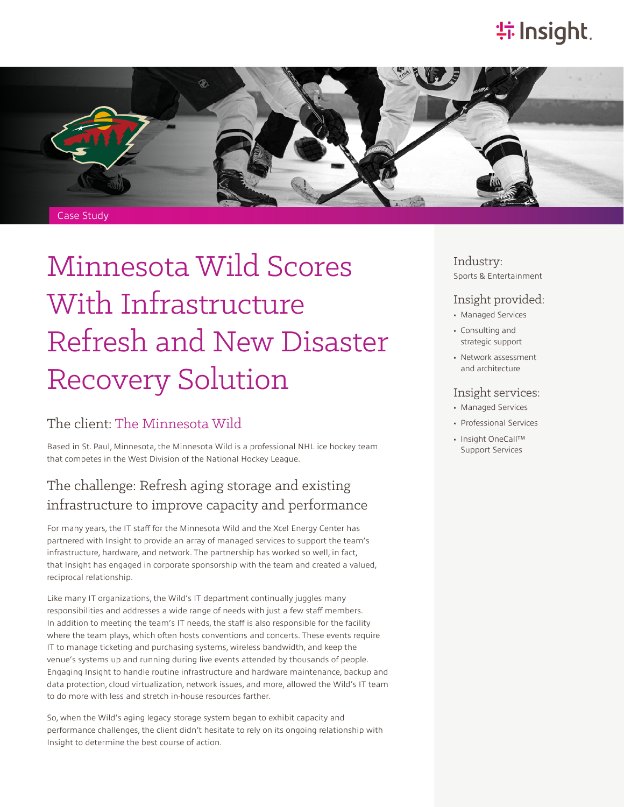## **特Insight**.



# Minnesota Wild Scores With Infrastructure Refresh and New Disaster Recovery Solution

#### The client: [The Minnesota Wild](https://www.nhl.com/wild)

Based in St. Paul, Minnesota, the Minnesota Wild is a professional NHL ice hockey team that competes in the West Division of the National Hockey League.

#### The challenge: Refresh aging storage and existing infrastructure to improve capacity and performance

For many years, the IT staff for the Minnesota Wild and the Xcel Energy Center has partnered with Insight to provide an array of managed services to support the team's infrastructure, hardware, and network. The partnership has worked so well, in fact, that Insight has engaged in corporate sponsorship with the team and created a valued, reciprocal relationship.

Like many IT organizations, the Wild's IT department continually juggles many responsibilities and addresses a wide range of needs with just a few staff members. In addition to meeting the team's IT needs, the staff is also responsible for the facility where the team plays, which often hosts conventions and concerts. These events require IT to manage ticketing and purchasing systems, wireless bandwidth, and keep the venue's systems up and running during live events attended by thousands of people. Engaging Insight to handle routine infrastructure and hardware maintenance, backup and data protection, cloud virtualization, network issues, and more, allowed the Wild's IT team to do more with less and stretch in-house resources farther.

So, when the Wild's aging legacy storage system began to exhibit capacity and performance challenges, the client didn't hesitate to rely on its ongoing relationship with Insight to determine the best course of action.

Industry: Sports & Entertainment

#### Insight provided:

- Managed Services
- Consulting and strategic support
- Network assessment and architecture

#### Insight services:

- Managed Services
- Professional Services
- Insight OneCall™ Support Services